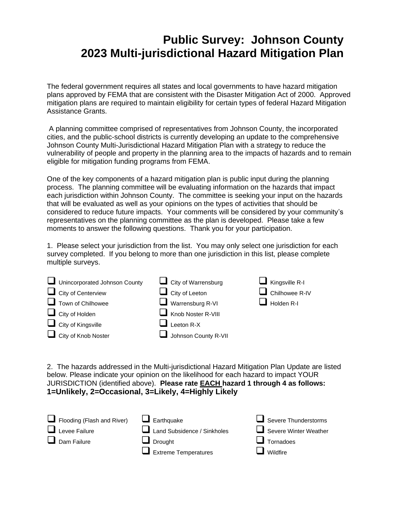## **Public Survey: Johnson County 2023 Multi-jurisdictional Hazard Mitigation Plan**

The federal government requires all states and local governments to have hazard mitigation plans approved by FEMA that are consistent with the Disaster Mitigation Act of 2000. Approved mitigation plans are required to maintain eligibility for certain types of federal Hazard Mitigation Assistance Grants.

A planning committee comprised of representatives from Johnson County, the incorporated cities, and the public-school districts is currently developing an update to the comprehensive Johnson County Multi-Jurisdictional Hazard Mitigation Plan with a strategy to reduce the vulnerability of people and property in the planning area to the impacts of hazards and to remain eligible for mitigation funding programs from FEMA.

One of the key components of a hazard mitigation plan is public input during the planning process. The planning committee will be evaluating information on the hazards that impact each jurisdiction within Johnson County. The committee is seeking your input on the hazards that will be evaluated as well as your opinions on the types of activities that should be considered to reduce future impacts. Your comments will be considered by your community's representatives on the planning committee as the plan is developed. Please take a few moments to answer the following questions. Thank you for your participation.

1. Please select your jurisdiction from the list. You may only select one jurisdiction for each survey completed. If you belong to more than one jurisdiction in this list, please complete multiple surveys.

| Unincorporated Johnson County<br>$\Box$ City of Centerview | $\Box$ City of Warrensburg<br>$\Box$ City of Leeton | $\blacksquare$ Kingsville R-I<br>Chilhowee R-IV |
|------------------------------------------------------------|-----------------------------------------------------|-------------------------------------------------|
| $\Box$ Town of Chilhowee<br>$\Box$ City of Holden          | $\Box$ Warrensburg R-VI<br>Knob Noster R-VIII       | Holden R-I                                      |
| $\Box$ City of Kingsville<br>City of Knob Noster           | Leeton R-X<br>Johnson County R-VII                  |                                                 |

2. The hazards addressed in the Multi-jurisdictional Hazard Mitigation Plan Update are listed below. Please indicate your opinion on the likelihood for each hazard to impact YOUR JURISDICTION (identified above). **Please rate EACH hazard 1 through 4 as follows: 1=Unlikely, 2=Occasional, 3=Likely, 4=Highly Likely**

| Flooding (Flash and River) | $\Box$ Earthquake           | $\Box$ Severe Thunderstorms |
|----------------------------|-----------------------------|-----------------------------|
| $\Box$ Levee Failure       | Land Subsidence / Sinkholes | Severe Winter Weather       |
| $\Box$ Dam Failure         | $\Box$ Drought              | $\Box$ Tornadoes            |
|                            | $\Box$ Extreme Temperatures | $\Box$ Wildfire             |